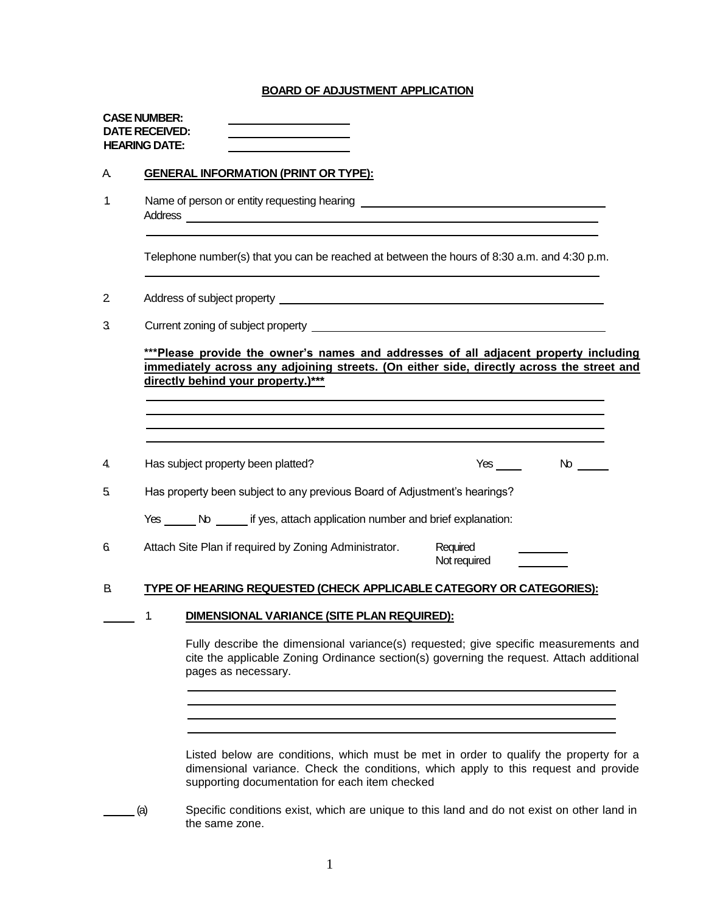### **BOARD OF ADJUSTMENT APPLICATION**

| <b>CASE NUMBER:</b>  |  |
|----------------------|--|
| DATE RECEIVED:       |  |
| <b>HEARING DATE:</b> |  |

### A. **GENERAL INFORMATION (PRINT OR TYPE):**

| Name of person or entity requesting hearing |
|---------------------------------------------|
| Address                                     |

Telephone number(s) that you can be reached at between the hours of 8:30 a.m. and 4:30 p.m.

- 2. Address of subject property
- 3. Current zoning of subject property

**\*\*\*Please provide the owner's names and addresses of all adjacent property including immediately across any adjoining streets. (On either side, directly across the street and directly behind your property.)\*\*\***

| Has subject property been platted?                                        | Yes                      | No. |
|---------------------------------------------------------------------------|--------------------------|-----|
| Has property been subject to any previous Board of Adjustment's hearings? |                          |     |
| Yes No if yes, attach application number and brief explanation:           |                          |     |
| Attach Site Plan if required by Zoning Administrator.                     | Required<br>Not required |     |

### 1. **DIMENSIONAL VARIANCE (SITE PLAN REQUIRED):**

Fully describe the dimensional variance(s) requested; give specific measurements and cite the applicable Zoning Ordinance section(s) governing the request. Attach additional pages as necessary.

Listed below are conditions, which must be met in order to qualify the property for a dimensional variance. Check the conditions, which apply to this request and provide supporting documentation for each item checked

(a) Specific conditions exist, which are unique to this land and do not exist on other land in the same zone.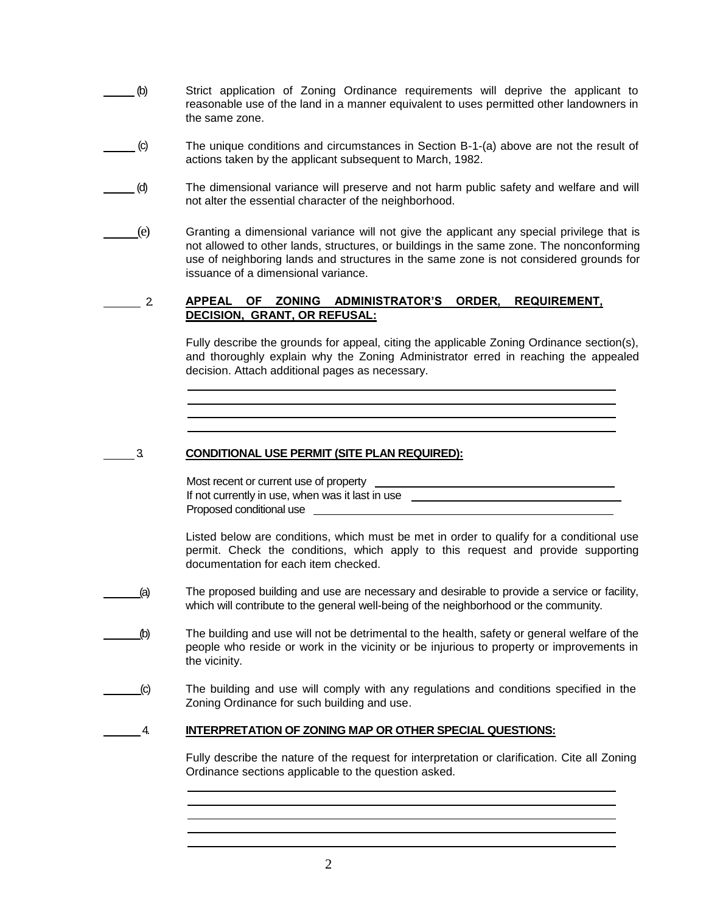- (b) Strict application of Zoning Ordinance requirements will deprive the applicant to reasonable use of the land in a manner equivalent to uses permitted other landowners in the same zone.
- (c) The unique conditions and circumstances in Section B-1-(a) above are not the result of actions taken by the applicant subsequent to March, 1982.
- (d) The dimensional variance will preserve and not harm public safety and welfare and will not alter the essential character of the neighborhood.
- (e) Granting a dimensional variance will not give the applicant any special privilege that is not allowed to other lands, structures, or buildings in the same zone. The nonconforming use of neighboring lands and structures in the same zone is not considered grounds for issuance of a dimensional variance.

### 2. **APPEAL OF ZONING ADMINISTRATOR'S ORDER, REQUIREMENT, DECISION, GRANT, OR REFUSAL:**

Fully describe the grounds for appeal, citing the applicable Zoning Ordinance section(s), and thoroughly explain why the Zoning Administrator erred in reaching the appealed decision. Attach additional pages as necessary.

## 3. **CONDITIONAL USE PERMIT (SITE PLAN REQUIRED):**

Most recent or current use of property \_\_\_\_\_\_\_\_\_\_ If not currently in use, when was it last in use Proposed conditional use

Listed below are conditions, which must be met in order to qualify for a conditional use permit. Check the conditions, which apply to this request and provide supporting documentation for each item checked.

- (a) The proposed building and use are necessary and desirable to provide a service or facility, which will contribute to the general well-being of the neighborhood or the community.
- (b) The building and use will not be detrimental to the health, safety or general welfare of the people who reside or work in the vicinity or be injurious to property or improvements in the vicinity.
- (c) The building and use will comply with any regulations and conditions specified in the Zoning Ordinance for such building and use.

# 4. **INTERPRETATION OF ZONING MAP OR OTHER SPECIAL QUESTIONS:**

Fully describe the nature of the request for interpretation or clarification. Cite all Zoning Ordinance sections applicable to the question asked.